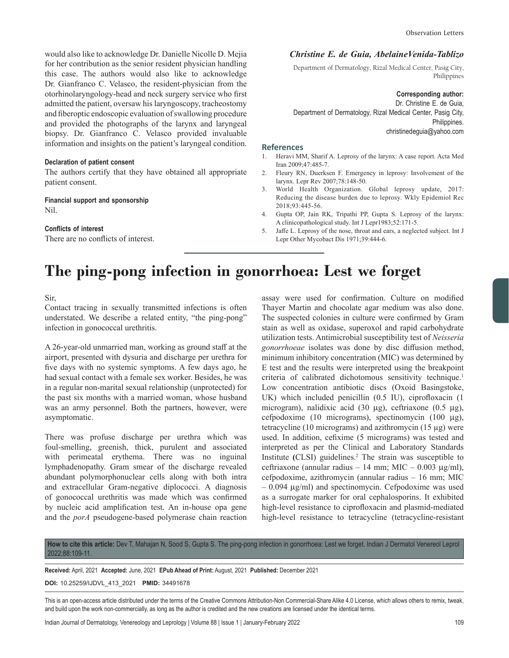would also like to acknowledge Dr. Danielle Nicolle D. Mejia for her contribution as the senior resident physician handling this case. The authors would also like to acknowledge Dr. Gianfranco C. Velasco, the resident-physician from the otorhinolaryngology-head and neck surgery service who first admitted the patient, oversaw his laryngoscopy, tracheostomy and fiberoptic endoscopic evaluation of swallowing procedure and provided the photographs of the larynx and laryngeal biopsy. Dr. Gianfranco C. Velasco provided invaluable information and insights on the patient's laryngeal condition.

#### **Declaration of patient consent**

The authors certify that they have obtained all appropriate patient consent.

# **Financial support and sponsorship** Nil.

# **Conflicts of interest**

There are no conflicts of interest.

# *Christine E. de Guia, AbelaineVenida-Tablizo*

Department of Dermatology, Rizal Medical Center, Pasig City, Philippines

#### **Corresponding author:**

Dr. Christine E. de Guia, Department of Dermatology, Rizal Medical Center, Pasig City, Philippines. christinedeguia@yahoo.com

#### **References**

- 1. Heravi MM, Sharif A. Leprosy of the larynx: A case report. Acta Med Iran 2009;47:485-7.
- 2. Fleury RN, Duerksen F. Emergency in leprosy: Involvement of the larynx. Lepr Rev 2007;78:148-50.
- 3. World Health Organization. Global leprosy update, 2017: Reducing the disease burden due to leprosy. Wkly Epidemiol Rec 2018;93:445-56.
- 4. Gupta OP, Jain RK, Tripathi PP, Gupta S. Leprosy of the larynx: A clinicopathological study. Int J Lepr1983;52:171-5.
- 5. Jaffe L. Leprosy of the nose, throat and ears, a neglected subject. Int J Lepr Other Mycobact Dis 1971;39:444-6.

# **The ping-pong infection in gonorrhoea: Lest we forget**

Sir,

Contact tracing in sexually transmitted infections is often understated. We describe a related entity, "the ping-pong" infection in gonococcal urethritis.

A 26-year-old unmarried man, working as ground staff at the airport, presented with dysuria and discharge per urethra for five days with no systemic symptoms. A few days ago, he had sexual contact with a female sex worker. Besides, he was in a regular non-marital sexual relationship (unprotected) for the past six months with a married woman, whose husband was an army personnel. Both the partners, however, were asymptomatic.

There was profuse discharge per urethra which was foul-smelling, greenish, thick, purulent and associated with perimeatal erythema. There was no inguinal lymphadenopathy. Gram smear of the discharge revealed abundant polymorphonuclear cells along with both intra and extracellular Gram-negative diplococci. A diagnosis of gonococcal urethritis was made which was confirmed by nucleic acid amplification test. An in-house opa gene and the *porA* pseudogene-based polymerase chain reaction

assay were used for confirmation. Culture on modified Thayer Martin and chocolate agar medium was also done. The suspected colonies in culture were confirmed by Gram stain as well as oxidase, superoxol and rapid carbohydrate utilization tests. Antimicrobial susceptibility test of *Neisseria gonorrhoeae* isolates was done by disc diffusion method, minimum inhibitory concentration (MIC) was determined by E test and the results were interpreted using the breakpoint criteria of calibrated dichotomous sensitivity technique.<sup>1</sup> Low concentration antibiotic discs (Oxoid Basingstoke, UK) which included penicillin (0.5 IU), ciprofloxacin (1 microgram), nalidixic acid (30 µg), ceftriaxone (0.5 µg), cefpodoxime (10 micrograms), spectinomycin (100 µg), tetracycline (10 micrograms) and azithromycin (15 µg) were used. In addition, cefixime (5 micrograms) was tested and interpreted as per the Clinical and Laboratory Standards Institute **(**CLSI) guidelines.2 The strain was susceptible to ceftriaxone (annular radius – 14 mm; MIC – 0.003  $\mu$ g/ml), cefpodoxime, azithromycin (annular radius – 16 mm; MIC  $-0.094 \mu$ g/ml) and spectinomycin. Cefpodoxime was used as a surrogate marker for oral cephalosporins. It exhibited high-level resistance to ciprofloxacin and plasmid-mediated high-level resistance to tetracycline (tetracycline-resistant

**How to cite this article:** Dev T, Mahajan N, Sood S, Gupta S. The ping-pong infection in gonorrhoea: Lest we forget. Indian J Dermatol Venereol Leprol 2022;88:109-11.

**Received:** April, 2021 **Accepted:** June, 2021 **EPub Ahead of Print:** August, 2021 **Published:** December 2021

#### **DOI:** 10.25259/IJDVL\_413\_2021 **PMID:** 34491678

This is an open-access article distributed under the terms of the Creative Commons Attribution-Non Commercial-Share Alike 4.0 License, which allows others to remix, tweak, and build upon the work non-commercially, as long as the author is credited and the new creations are licensed under the identical terms.

Indian Journal of Dermatology, Venereology and Leprology | Volume 88 | Issue 1 | January-February 2022 109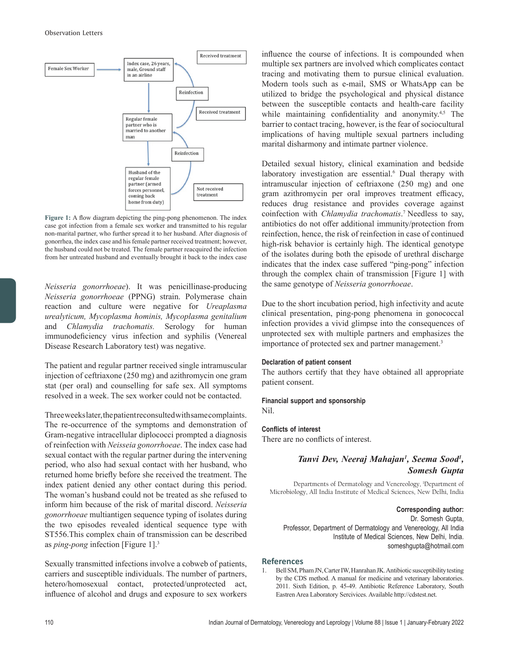

**Figure 1:** A flow diagram depicting the ping-pong phenomenon. The index case got infection from a female sex worker and transmitted to his regular non-marital partner, who further spread it to her husband. After diagnosis of gonorrhea, the index case and his female partner received treatment; however, the husband could not be treated. The female partner reacquired the infection from her untreated husband and eventually brought it back to the index case

*Neisseria gonorrhoeae*). It was penicillinase-producing *Neisseria gonorrhoeae* (PPNG) strain. Polymerase chain reaction and culture were negative for *Ureaplasma urealyticum, Mycoplasma hominis, Mycoplasma genitalium* and *Chlamydia trachomatis.* Serology for human immunodeficiency virus infection and syphilis (Venereal Disease Research Laboratory test) was negative.

The patient and regular partner received single intramuscular injection of ceftriaxone (250 mg) and azithromycin one gram stat (per oral) and counselling for safe sex. All symptoms resolved in a week. The sex worker could not be contacted.

Three weeks later, the patient reconsulted with same complaints. The re-occurrence of the symptoms and demonstration of Gram-negative intracellular diplococci prompted a diagnosis of reinfection with *Neisseia gonorrhoeae*. The index case had sexual contact with the regular partner during the intervening period, who also had sexual contact with her husband, who returned home briefly before she received the treatment. The index patient denied any other contact during this period. The woman's husband could not be treated as she refused to inform him because of the risk of marital discord. *Neisseria gonorrhoeae* multiantigen sequence typing of isolates during the two episodes revealed identical sequence type with ST556.This complex chain of transmission can be described as *ping-pong* infection [Figure 1].3

Sexually transmitted infections involve a cobweb of patients, carriers and susceptible individuals. The number of partners, hetero/homosexual contact, protected/unprotected act, influence of alcohol and drugs and exposure to sex workers influence the course of infections. It is compounded when multiple sex partners are involved which complicates contact tracing and motivating them to pursue clinical evaluation. Modern tools such as e-mail, SMS or WhatsApp can be utilized to bridge the psychological and physical distance between the susceptible contacts and health-care facility while maintaining confidentiality and anonymity.<sup>4,5</sup> The barrier to contact tracing, however, is the fear of sociocultural implications of having multiple sexual partners including marital disharmony and intimate partner violence.

Detailed sexual history, clinical examination and bedside laboratory investigation are essential.<sup>6</sup> Dual therapy with intramuscular injection of ceftriaxone (250 mg) and one gram azithromycin per oral improves treatment efficacy, reduces drug resistance and provides coverage against coinfection with *Chlamydia trachomatis*. 7 Needless to say, antibiotics do not offer additional immunity/protection from reinfection, hence, the risk of reinfection in case of continued high-risk behavior is certainly high. The identical genotype of the isolates during both the episode of urethral discharge indicates that the index case suffered "ping-pong" infection through the complex chain of transmission [Figure 1] with the same genotype of *Neisseria gonorrhoeae*.

Due to the short incubation period, high infectivity and acute clinical presentation, ping-pong phenomena in gonococcal infection provides a vivid glimpse into the consequences of unprotected sex with multiple partners and emphasizes the importance of protected sex and partner management.<sup>3</sup>

# **Declaration of patient consent**

The authors certify that they have obtained all appropriate patient consent.

# **Financial support and sponsorship**

Nil.

# **Conflicts of interest**

There are no conflicts of interest.

# Tanvi Dev, Neeraj Mahajan<sup>1</sup>, Seema Sood<sup>1</sup>, *Somesh Gupta*

Departments of Dermatology and Venereology, 1 Department of Microbiology, All India Institute of Medical Sciences, New Delhi, India

**Corresponding author:** Dr. Somesh Gupta, Professor, Department of Dermatology and Venereology, All India Institute of Medical Sciences, New Delhi, India. someshgupta@hotmail.com

# **References**

1. Bell SM, Pham JN, Carter IW, Hanrahan JK. Antibiotic susceptibility testing by the CDS method. A manual for medicine and veterinary laboratories. 2011. Sixth Edition, p. 45-49. Antibiotic Reference Laboratory, South Eastren Area Laboratory Sercivices. Available http://cdstest.net.